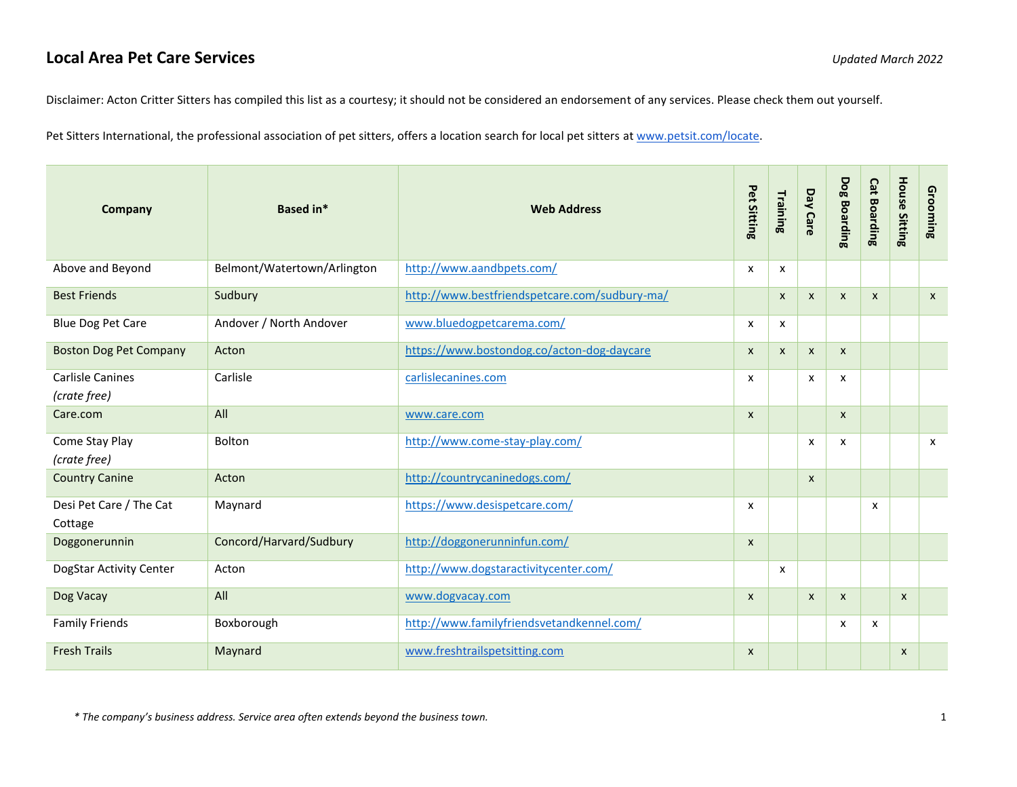## **Local Area Pet Care Services** *Updated March 2022*

Disclaimer: Acton Critter Sitters has compiled this list as a courtesy; it should not be considered an endorsement of any services. Please check them out yourself.

Pet Sitters International, the professional association of pet sitters, offers a location search for local pet sitters at [www.petsit.com/locate.](http://www.petsit.com/locate)

| Company                                 | <b>Based in*</b>            | <b>Web Address</b>                            | Pet Sitting               | Training     | <b>Day Care</b>           | <b>Dog Boarding</b> | <b>Cat Boarding</b> | <b>House Sitting</b> | Grooming                  |
|-----------------------------------------|-----------------------------|-----------------------------------------------|---------------------------|--------------|---------------------------|---------------------|---------------------|----------------------|---------------------------|
| Above and Beyond                        | Belmont/Watertown/Arlington | http://www.aandbpets.com/                     | X                         | x            |                           |                     |                     |                      |                           |
| <b>Best Friends</b>                     | Sudbury                     | http://www.bestfriendspetcare.com/sudbury-ma/ |                           | X            | $\boldsymbol{\mathsf{x}}$ | X                   | $\mathsf{x}$        |                      | $\boldsymbol{\mathsf{x}}$ |
| Blue Dog Pet Care                       | Andover / North Andover     | www.bluedogpetcarema.com/                     | X                         | x            |                           |                     |                     |                      |                           |
| <b>Boston Dog Pet Company</b>           | Acton                       | https://www.bostondog.co/acton-dog-daycare    | $\pmb{\chi}$              | $\mathsf{x}$ | $\pmb{\times}$            | X                   |                     |                      |                           |
| <b>Carlisle Canines</b><br>(crate free) | Carlisle                    | carlislecanines.com                           | $\boldsymbol{\mathsf{x}}$ |              | $\boldsymbol{\mathsf{x}}$ | x                   |                     |                      |                           |
| Care.com                                | All                         | www.care.com                                  | $\pmb{\chi}$              |              |                           | X                   |                     |                      |                           |
| Come Stay Play<br>(crate free)          | Bolton                      | http://www.come-stay-play.com/                |                           |              | $\boldsymbol{\mathsf{x}}$ | x                   |                     |                      | $\mathsf{x}$              |
| <b>Country Canine</b>                   | Acton                       | http://countrycaninedogs.com/                 |                           |              | $\boldsymbol{\mathsf{x}}$ |                     |                     |                      |                           |
| Desi Pet Care / The Cat<br>Cottage      | Maynard                     | https://www.desispetcare.com/                 | x                         |              |                           |                     | X                   |                      |                           |
| Doggonerunnin                           | Concord/Harvard/Sudbury     | http://doggonerunninfun.com/                  | $\pmb{\chi}$              |              |                           |                     |                     |                      |                           |
| DogStar Activity Center                 | Acton                       | http://www.dogstaractivitycenter.com/         |                           | x            |                           |                     |                     |                      |                           |
| Dog Vacay                               | All                         | www.dogvacay.com                              | $\boldsymbol{\mathsf{x}}$ |              | $\pmb{\times}$            | X                   |                     | $\mathsf{x}$         |                           |
| <b>Family Friends</b>                   | Boxborough                  | http://www.familyfriendsvetandkennel.com/     |                           |              |                           | x                   | x                   |                      |                           |
| <b>Fresh Trails</b>                     | Maynard                     | www.freshtrailspetsitting.com                 | $\boldsymbol{\mathsf{x}}$ |              |                           |                     |                     | $\mathsf{x}$         |                           |

*\* The company's business address. Service area often extends beyond the business town.* 1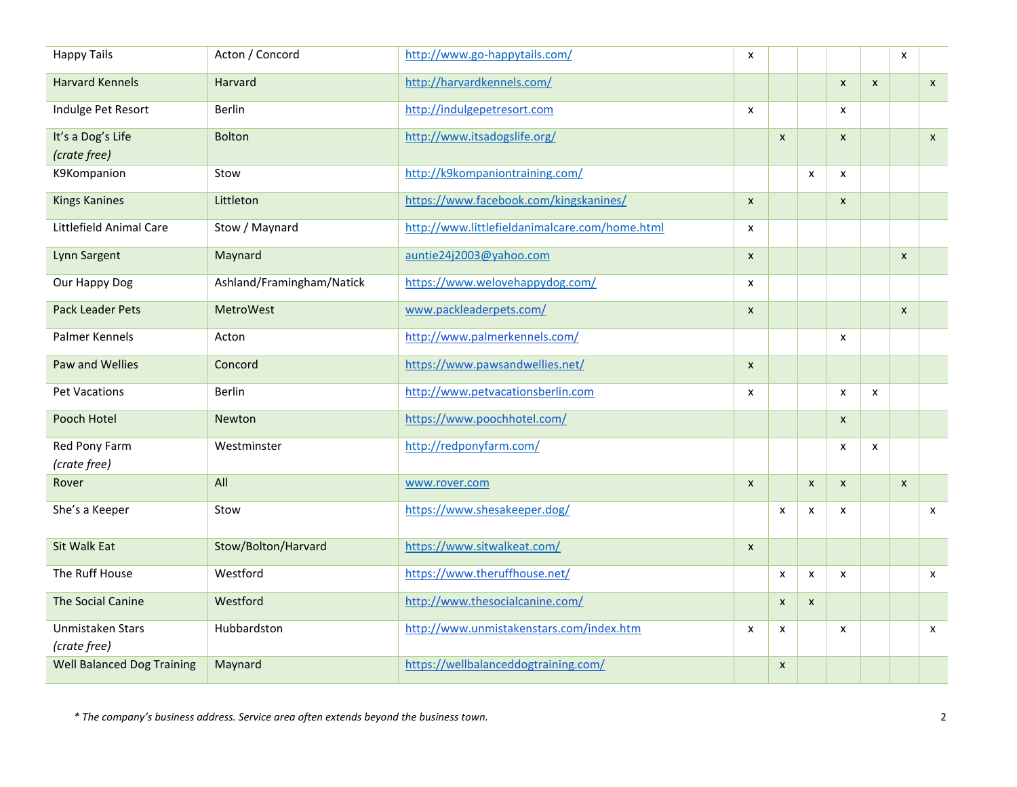| <b>Happy Tails</b>                | Acton / Concord           | http://www.go-happytails.com/                  | X                  |                |                    |                    |                    | X            |                           |
|-----------------------------------|---------------------------|------------------------------------------------|--------------------|----------------|--------------------|--------------------|--------------------|--------------|---------------------------|
| <b>Harvard Kennels</b>            | <b>Harvard</b>            | http://harvardkennels.com/                     |                    |                |                    | $\pmb{\mathsf{x}}$ | $\pmb{\mathsf{x}}$ |              | $\mathsf{x}$              |
| Indulge Pet Resort                | <b>Berlin</b>             | http://indulgepetresort.com                    | X                  |                |                    | x                  |                    |              |                           |
| It's a Dog's Life<br>(crate free) | <b>Bolton</b>             | http://www.itsadogslife.org/                   |                    | $\mathsf{x}$   |                    | $\mathsf{x}$       |                    |              | $\mathsf{x}$              |
| K9Kompanion                       | Stow                      | http://k9kompaniontraining.com/                |                    |                | $\mathsf{x}$       | x                  |                    |              |                           |
|                                   | Littleton                 | https://www.facebook.com/kingskanines/         |                    |                |                    |                    |                    |              |                           |
| <b>Kings Kanines</b>              |                           |                                                | $\mathsf{x}$       |                |                    | $\mathsf{x}$       |                    |              |                           |
| Littlefield Animal Care           | Stow / Maynard            | http://www.littlefieldanimalcare.com/home.html | X                  |                |                    |                    |                    |              |                           |
| Lynn Sargent                      | Maynard                   | auntie24j2003@yahoo.com                        | X                  |                |                    |                    |                    | $\mathsf{x}$ |                           |
| Our Happy Dog                     | Ashland/Framingham/Natick | https://www.welovehappydog.com/                | x                  |                |                    |                    |                    |              |                           |
| <b>Pack Leader Pets</b>           | <b>MetroWest</b>          | www.packleaderpets.com/                        | $\pmb{\mathsf{x}}$ |                |                    |                    |                    | $\mathsf{x}$ |                           |
| Palmer Kennels                    | Acton                     | http://www.palmerkennels.com/                  |                    |                |                    | X                  |                    |              |                           |
| Paw and Wellies                   | Concord                   | https://www.pawsandwellies.net/                | $\pmb{\times}$     |                |                    |                    |                    |              |                           |
| <b>Pet Vacations</b>              | <b>Berlin</b>             | http://www.petvacationsberlin.com              | X                  |                |                    | $\mathsf{x}$       | X                  |              |                           |
| Pooch Hotel                       | Newton                    | https://www.poochhotel.com/                    |                    |                |                    | $\mathsf{X}$       |                    |              |                           |
| Red Pony Farm<br>(crate free)     | Westminster               | http://redponyfarm.com/                        |                    |                |                    | X                  | X                  |              |                           |
| Rover                             | All                       | www.rover.com                                  | $\pmb{\times}$     |                | $\pmb{\chi}$       | $\mathsf{x}$       |                    | $\mathsf{x}$ |                           |
| She's a Keeper                    | Stow                      | https://www.shesakeeper.dog/                   |                    | X              | X                  | X                  |                    |              | $\mathsf{x}$              |
| <b>Sit Walk Eat</b>               | Stow/Bolton/Harvard       | https://www.sitwalkeat.com/                    | $\pmb{\times}$     |                |                    |                    |                    |              |                           |
| The Ruff House                    | Westford                  | https://www.theruffhouse.net/                  |                    | X              | $\pmb{\mathsf{x}}$ | X                  |                    |              | $\pmb{\mathsf{X}}$        |
| The Social Canine                 | Westford                  | http://www.thesocialcanine.com/                |                    | $\pmb{\times}$ | $\mathsf{x}$       |                    |                    |              |                           |
| Unmistaken Stars<br>(crate free)  | <b>Hubbardston</b>        | http://www.unmistakenstars.com/index.htm       | x                  | x              |                    | x                  |                    |              | $\boldsymbol{\mathsf{x}}$ |
| <b>Well Balanced Dog Training</b> | Maynard                   | https://wellbalanceddogtraining.com/           |                    | X              |                    |                    |                    |              |                           |

*\* The company's business address. Service area often extends beyond the business town.* 2